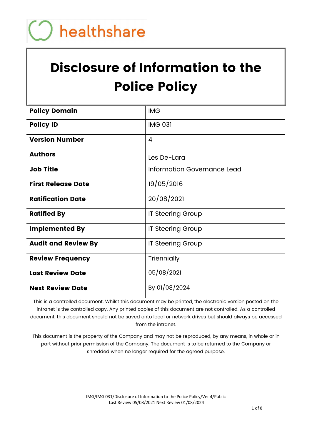# Disclosure of Information to the Police Policy

| <b>Policy Domain</b>       | <b>IMG</b>                  |
|----------------------------|-----------------------------|
| <b>Policy ID</b>           | <b>IMG 031</b>              |
| <b>Version Number</b>      | 4                           |
| <b>Authors</b>             | Les De-Lara                 |
| <b>Job Title</b>           | Information Governance Lead |
| <b>First Release Date</b>  | 19/05/2016                  |
| <b>Ratification Date</b>   | 20/08/2021                  |
| <b>Ratified By</b>         | <b>IT Steering Group</b>    |
| <b>Implemented By</b>      | <b>IT Steering Group</b>    |
| <b>Audit and Review By</b> | <b>IT Steering Group</b>    |
| <b>Review Frequency</b>    | Triennially                 |
| <b>Last Review Date</b>    | 05/08/2021                  |
| <b>Next Review Date</b>    | By 01/08/2024               |

This is a controlled document. Whilst this document may be printed, the electronic version posted on the intranet is the controlled copy. Any printed copies of this document are not controlled. As a controlled document, this document should not be saved onto local or network drives but should always be accessed from the intranet.

This document is the property of the Company and may not be reproduced, by any means, in whole or in part without prior permission of the Company. The document is to be returned to the Company or shredded when no longer required for the agreed purpose.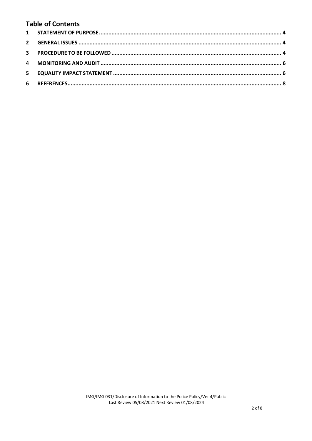# **Table of Contents**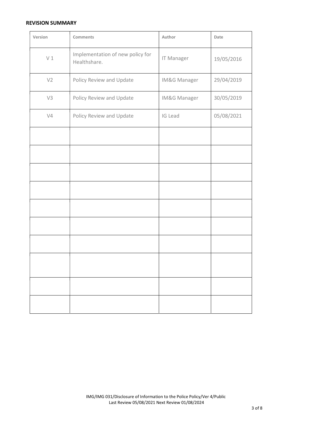#### REVISION SUMMARY

| Version        | <b>Comments</b>                                  | Author       | Date       |
|----------------|--------------------------------------------------|--------------|------------|
| V1             | Implementation of new policy for<br>Healthshare. | IT Manager   | 19/05/2016 |
| V <sub>2</sub> | Policy Review and Update                         | IM&G Manager | 29/04/2019 |
| V3             | Policy Review and Update                         | IM&G Manager | 30/05/2019 |
| V4             | Policy Review and Update                         | IG Lead      | 05/08/2021 |
|                |                                                  |              |            |
|                |                                                  |              |            |
|                |                                                  |              |            |
|                |                                                  |              |            |
|                |                                                  |              |            |
|                |                                                  |              |            |
|                |                                                  |              |            |
|                |                                                  |              |            |
|                |                                                  |              |            |
|                |                                                  |              |            |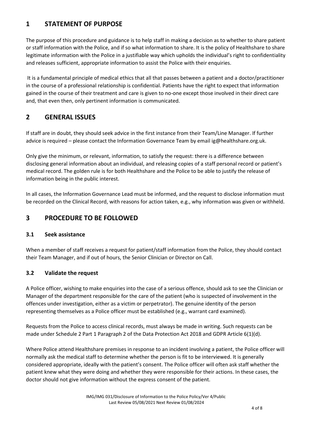## 1 STATEMENT OF PURPOSE

The purpose of this procedure and guidance is to help staff in making a decision as to whether to share patient or staff information with the Police, and if so what information to share. It is the policy of Healthshare to share legitimate information with the Police in a justifiable way which upholds the individual's right to confidentiality and releases sufficient, appropriate information to assist the Police with their enquiries.

 It is a fundamental principle of medical ethics that all that passes between a patient and a doctor/practitioner in the course of a professional relationship is confidential. Patients have the right to expect that information gained in the course of their treatment and care is given to no-one except those involved in their direct care and, that even then, only pertinent information is communicated.

## 2 GENERAL ISSUES

If staff are in doubt, they should seek advice in the first instance from their Team/Line Manager. If further advice is required – please contact the Information Governance Team by email ig@healthshare.org.uk.

Only give the minimum, or relevant, information, to satisfy the request: there is a difference between disclosing general information about an individual, and releasing copies of a staff personal record or patient's medical record. The golden rule is for both Healthshare and the Police to be able to justify the release of information being in the public interest.

In all cases, the Information Governance Lead must be informed, and the request to disclose information must be recorded on the Clinical Record, with reasons for action taken, e.g., why information was given or withheld.

## 3 PROCEDURE TO BE FOLLOWED

## 3.1 Seek assistance

When a member of staff receives a request for patient/staff information from the Police, they should contact their Team Manager, and if out of hours, the Senior Clinician or Director on Call.

## 3.2 Validate the request

A Police officer, wishing to make enquiries into the case of a serious offence, should ask to see the Clinician or Manager of the department responsible for the care of the patient (who is suspected of involvement in the offences under investigation, either as a victim or perpetrator). The genuine identity of the person representing themselves as a Police officer must be established (e.g., warrant card examined).

Requests from the Police to access clinical records, must always be made in writing. Such requests can be made under Schedule 2 Part 1 Paragraph 2 of the Data Protection Act 2018 and GDPR Article 6(1)(d).

Where Police attend Healthshare premises in response to an incident involving a patient, the Police officer will normally ask the medical staff to determine whether the person is fit to be interviewed. It is generally considered appropriate, ideally with the patient's consent. The Police officer will often ask staff whether the patient knew what they were doing and whether they were responsible for their actions. In these cases, the doctor should not give information without the express consent of the patient.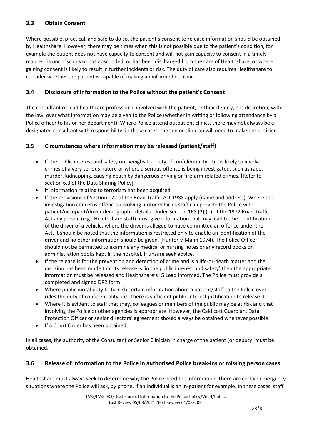#### 3.3 Obtain Consent

Where possible, practical, and safe to do so, the patient's consent to release information should be obtained by Healthshare. However, there may be times when this is not possible due to the patient's condition, for example the patient does not have capacity to consent and will not gain capacity to consent in a timely manner; is unconscious or has absconded, or has been discharged from the care of Healthshare, or where gaining consent is likely to result in further incidents or risk. The duty of care also requires Healthshare to consider whether the patient is capable of making an informed decision.

#### 3.4 Disclosure of information to the Police without the patient's Consent

The consultant or lead healthcare professional involved with the patient, or their deputy, has discretion, within the law, over what information may be given to the Police (whether in writing or following attendance by a Police officer to his or her department). Where Police attend outpatient clinics, there may not always be a designated consultant with responsibility; in these cases, the senior clinician will need to make the decision.

#### 3.5 Circumstances where information may be released (patient/staff)

- If the public interest and safety out-weighs the duty of confidentiality; this is likely to involve crimes of a very serious nature or where a serious offence is being investigated, such as rape, murder, kidnapping, causing death by dangerous driving or fire-arm related crimes. [Refer to section 6.3 of the Data Sharing Policy].
- If information relating to terrorism has been acquired.
- If the provisions of Section 172 of the Road Traffic Act 1988 apply (name and address). Where the investigation concerns offences involving motor vehicles staff can provide the Police with patient/occupant/driver demographic details. Under Section 168 (2) (b) of the 1972 Road Traffic Act any person (e.g., Healthshare staff) must give information that may lead to the identification of the driver of a vehicle, where the driver is alleged to have committed an offence under the Act. It should be noted that the information is restricted only to enable an identification of the driver and no other information should be given. (Hunter-v-Mann 1974). The Police Officer should not be permitted to examine any medical or nursing notes or any record books or administration books kept in the hospital. If unsure seek advice.
- If the release is for the prevention and detection of crime and is a life-or-death matter and the decision has been made that its release is 'in the public interest and safety' then the appropriate information must be released and Healthshare's IG Lead informed. The Police must provide a completed and signed DP2 form.
- Where public moral duty to furnish certain information about a patient/staff to the Police overrides the duty of confidentiality. i.e., there is sufficient public interest justification to release it.
- Where it is evident to staff that they, colleagues or members of the public may be at risk and that involving the Police or other agencies is appropriate. However, the Caldicott Guardian, Data Protection Officer or senior directors' agreement should always be obtained whenever possible.
- If a Court Order has been obtained.

In all cases, the authority of the Consultant or Senior Clinician in charge of the patient (or deputy) must be obtained.

#### 3.6 Release of information to the Police in authorised Police break-ins or missing person cases

Healthshare must always seek to determine why the Police need the information. There are certain emergency situations where the Police will ask, by phone, if an individual is an in-patient for example. In these cases, staff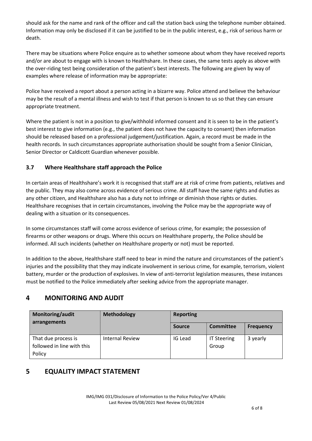should ask for the name and rank of the officer and call the station back using the telephone number obtained. Information may only be disclosed if it can be justified to be in the public interest, e.g., risk of serious harm or death.

There may be situations where Police enquire as to whether someone about whom they have received reports and/or are about to engage with is known to Healthshare. In these cases, the same tests apply as above with the over-riding test being consideration of the patient's best interests. The following are given by way of examples where release of information may be appropriate:

Police have received a report about a person acting in a bizarre way. Police attend and believe the behaviour may be the result of a mental illness and wish to test if that person is known to us so that they can ensure appropriate treatment.

Where the patient is not in a position to give/withhold informed consent and it is seen to be in the patient's best interest to give information (e.g., the patient does not have the capacity to consent) then information should be released based on a professional judgement/justification. Again, a record must be made in the health records. In such circumstances appropriate authorisation should be sought from a Senior Clinician, Senior Director or Caldicott Guardian whenever possible.

## 3.7 Where Healthshare staff approach the Police

In certain areas of Healthshare's work it is recognised that staff are at risk of crime from patients, relatives and the public. They may also come across evidence of serious crime. All staff have the same rights and duties as any other citizen, and Healthshare also has a duty not to infringe or diminish those rights or duties. Healthshare recognises that in certain circumstances, involving the Police may be the appropriate way of dealing with a situation or its consequences.

In some circumstances staff will come across evidence of serious crime, for example; the possession of firearms or other weapons or drugs. Where this occurs on Healthshare property, the Police should be informed. All such incidents (whether on Healthshare property or not) must be reported.

In addition to the above, Healthshare staff need to bear in mind the nature and circumstances of the patient's injuries and the possibility that they may indicate involvement in serious crime, for example, terrorism, violent battery, murder or the production of explosives. In view of anti-terrorist legislation measures, these instances must be notified to the Police immediately after seeking advice from the appropriate manager.

## 4 MONITORING AND AUDIT

| Monitoring/audit<br>arrangements                  | <b>Methodology</b>     | <b>Reporting</b> |                             |                  |
|---------------------------------------------------|------------------------|------------------|-----------------------------|------------------|
|                                                   |                        | <b>Source</b>    | <b>Committee</b>            | <b>Frequency</b> |
| That due process is<br>followed in line with this | <b>Internal Review</b> | IG Lead          | <b>IT Steering</b><br>Group | 3 yearly         |
| Policy                                            |                        |                  |                             |                  |

## 5 EQUALITY IMPACT STATEMENT

IMG/IMG 031/Disclosure of Information to the Police Policy/Ver 4/Public Last Review 05/08/2021 Next Review 01/08/2024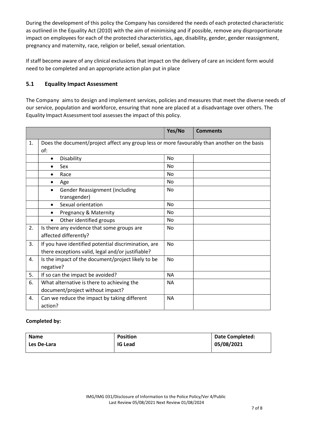During the development of this policy the Company has considered the needs of each protected characteristic as outlined in the Equality Act (2010) with the aim of minimising and if possible, remove any disproportionate impact on employees for each of the protected characteristics, age, disability, gender, gender reassignment, pregnancy and maternity, race, religion or belief, sexual orientation.

If staff become aware of any clinical exclusions that impact on the delivery of care an incident form would need to be completed and an appropriate action plan put in place

#### 5.1 Equality Impact Assessment

The Company aims to design and implement services, policies and measures that meet the diverse needs of our service, population and workforce, ensuring that none are placed at a disadvantage over others. The Equality Impact Assessment tool assesses the impact of this policy.

|    |                                                                                                           | Yes/No    | <b>Comments</b> |
|----|-----------------------------------------------------------------------------------------------------------|-----------|-----------------|
| 1. | Does the document/project affect any group less or more favourably than another on the basis<br>of:       |           |                 |
|    | Disability<br>$\bullet$                                                                                   | <b>No</b> |                 |
|    | Sex<br>٠                                                                                                  | <b>No</b> |                 |
|    | Race                                                                                                      | <b>No</b> |                 |
|    | Age<br>$\bullet$                                                                                          | <b>No</b> |                 |
|    | <b>Gender Reassignment (including</b><br>$\bullet$<br>transgender)                                        | No        |                 |
|    | Sexual orientation<br>$\bullet$                                                                           | No        |                 |
|    | Pregnancy & Maternity                                                                                     | No        |                 |
|    | Other identified groups<br>$\bullet$                                                                      | No.       |                 |
| 2. | Is there any evidence that some groups are<br>affected differently?                                       | <b>No</b> |                 |
| 3. | If you have identified potential discrimination, are<br>there exceptions valid, legal and/or justifiable? | <b>No</b> |                 |
| 4. | Is the impact of the document/project likely to be<br>negative?                                           | <b>No</b> |                 |
| 5. | If so can the impact be avoided?                                                                          | <b>NA</b> |                 |
| 6. | What alternative is there to achieving the                                                                | <b>NA</b> |                 |
|    | document/project without impact?                                                                          |           |                 |
| 4. | Can we reduce the impact by taking different<br>action?                                                   | <b>NA</b> |                 |

#### Completed by:

| <b>Name</b> | <b>Position</b> | <b>Date Completed:</b> |
|-------------|-----------------|------------------------|
| Les De-Lara | <b>IG Lead</b>  | 05/08/2021             |